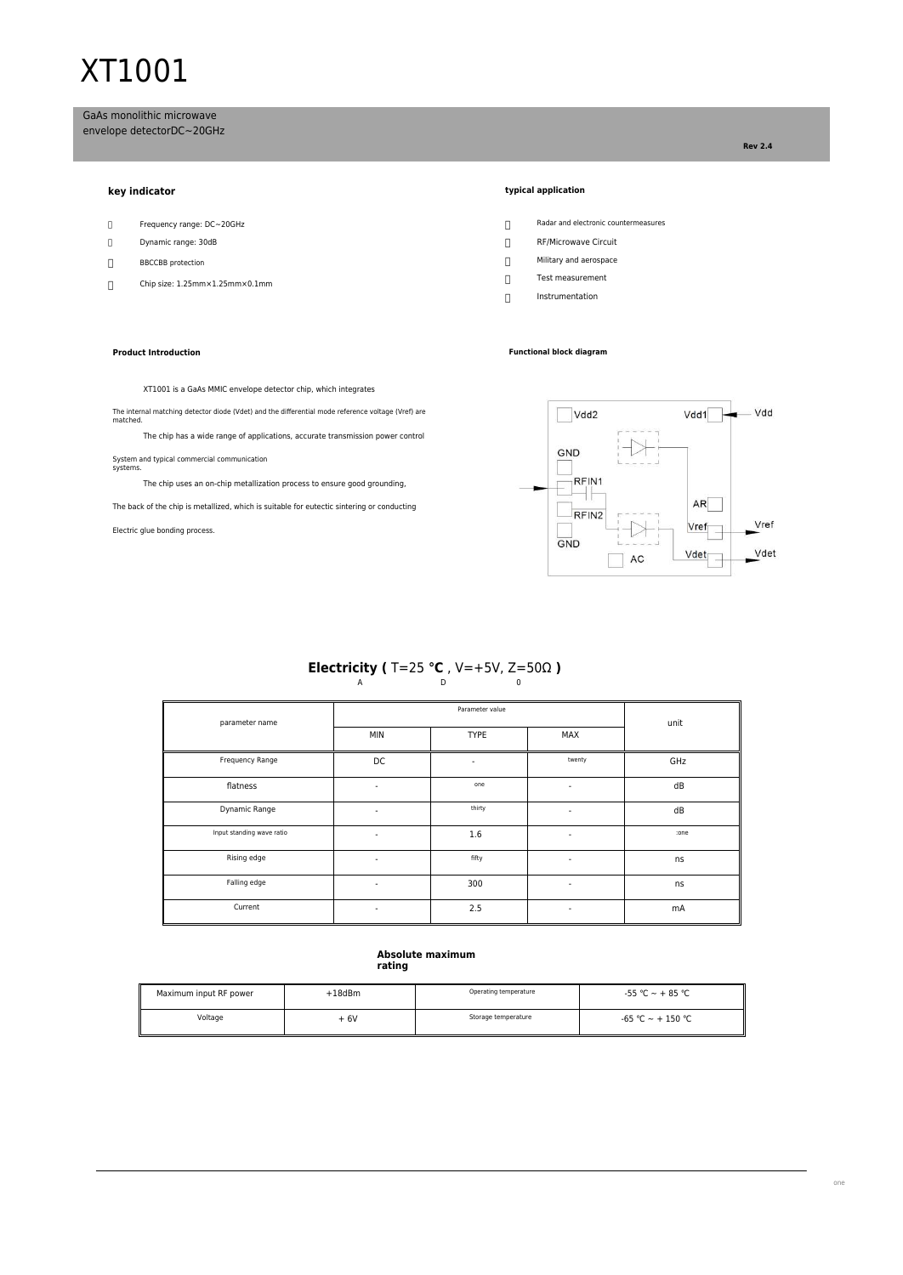# XT1001

GaAs monolithic microwave envelope detectorDC~20GHz

- 
- 
- 
- Chip size: 1.25mm×1.25mm×0.1mm

## **Product Introduction Functional block diagram**

## **key indicator typical application**

- Frequency range: DC~20GHz Radar and electronic countermeasures
- Dynamic range: 30dB<br>
and the contract of the contract of the contract of the contract of the contract of the contract of the contract of the contract of the contract of the contract of the contract of the contract of the c
- $\fbox{\parbox{1.5in}{{\bf B}BCCBB protein}}{\begin{tabular}{c}{{\bf D}}\\{{\bf D}}\\{{\bf EBCCBB protection}}\\{{\bf D}}\\{{\bf D}}\\{{\bf EBCCBB protection}}\\{{\bf D}}\\{{\bf D}}\\{{\bf D}}\\{{\bf D}}\\{{\bf D}}\\{{\bf D}}\\{{\bf D}}\\{{\bf D}}\\{{\bf D}}\\{{\bf D}}\\{{\bf D}}\\{{\bf D}}\\{{\bf D}}\\{{\bf D}}\\{{\bf D}}\\{{\bf D}}\\{{\bf D}}\\{{\bf D}}\\{{\bf D}}\\{{\bf D}}\\{{\bf D}}\\{{\bf D}}\\{{\bf D}}\\{{\bf D}}\\{{\bf$ 
	- Test measurement
	- Instrumentation

## XT1001 is a GaAs MMIC envelope detector chip, which integrates

The internal matching detector diode (Vdet) and the differential mode reference voltage (Vref) are matched.

The chip has a wide range of applications, accurate transmission power control

System and typical commercial communication systems.

The chip uses an on-chip metallization process to ensure good grounding,

The back of the chip is metallized, which is suitable for eutectic sintering or conducting

Electric glue bonding process.



# **Electricity (** T=25 °**C** , V=+5V, Z=50Ω **)**<br>
<sup>0</sup>

| parameter name            |                          | unit                     |                          |      |  |
|---------------------------|--------------------------|--------------------------|--------------------------|------|--|
|                           | <b>MIN</b>               | <b>TYPE</b>              | MAX                      |      |  |
| Frequency Range           | DC                       | $\overline{\phantom{a}}$ | twenty                   | GHz  |  |
| flatness                  | ٠                        | one                      | $\overline{\phantom{a}}$ | dB   |  |
| Dynamic Range             | ٠                        | thirty                   | $\overline{\phantom{a}}$ | dB   |  |
| Input standing wave ratio | ٠                        | 1.6                      | ٠                        | :one |  |
| Rising edge               | $\overline{\phantom{0}}$ | fifty                    | ۰                        | ns   |  |
| Falling edge              | ٠                        | 300                      | ٠                        | ns   |  |
| Current                   | ٠                        | 2.5                      | ٠                        | mA   |  |

# **Absolute maximum rating**

| Maximum input RF power | +18dBm | Operating temperature | $-55$ °C $\sim$ + 85 °C  |
|------------------------|--------|-----------------------|--------------------------|
| Voltage                | $+6V$  | Storage temperature   | $-65$ °C $\sim$ + 150 °C |

**Rev 2.4**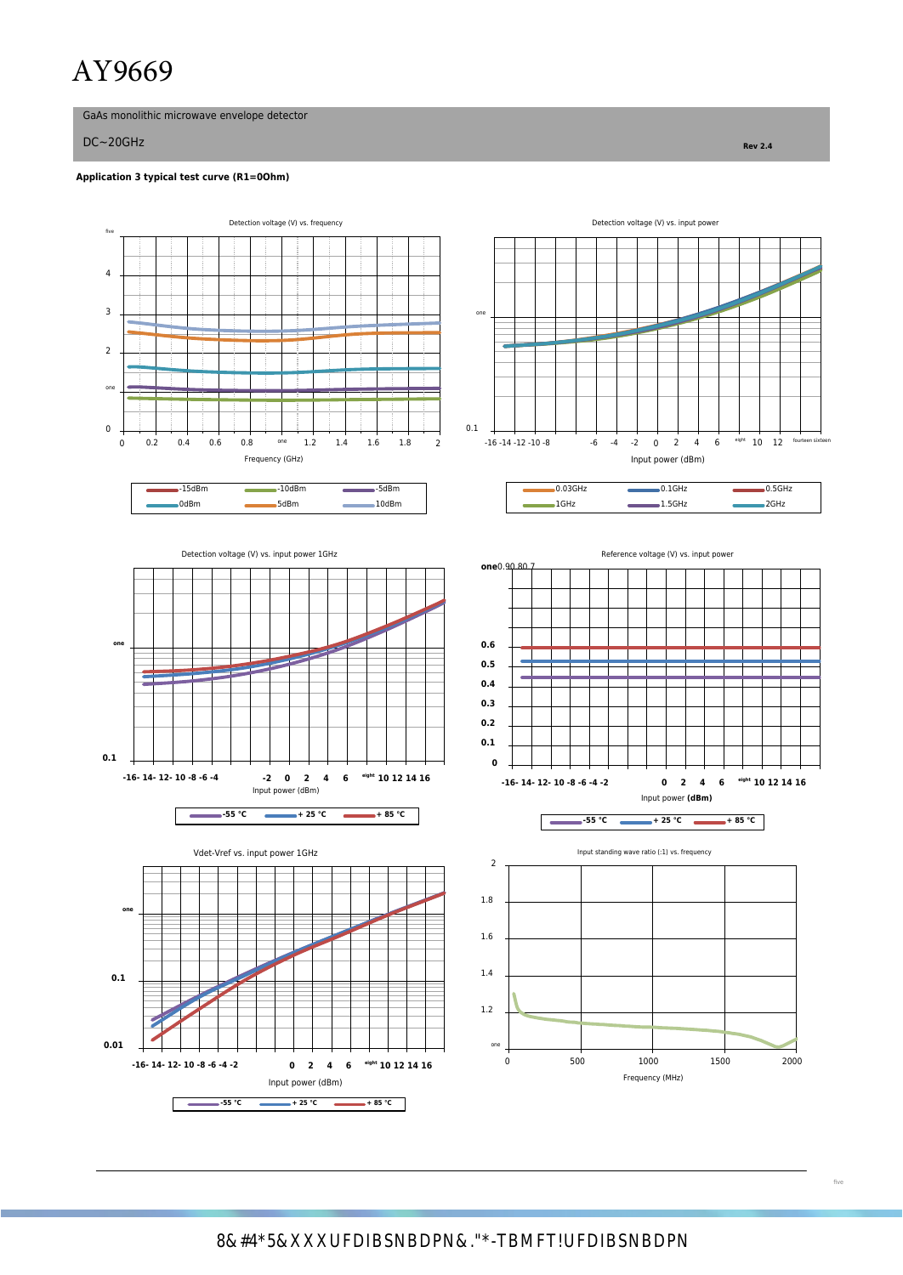# AY9669

GaAs monolithic microwave envelope detector

DC~20GHz **Rev 2.4**

five

4

# **Application 3 typical test curve (R1=0Ohm)**

Detection voltage (V) vs. frequency Detection voltage (V) vs. input power 3 one

**e 10 12 14 16 e 10 12 14 16 eight 10 12 14 16 example 1500 1500 1500 2000 2000 1600 Frequency** (MHz)



**0.01** one

Input power (dBm) **-55 ℃ + 25 ℃ + 85 ℃ + 85 ℃ + 85 ℃** 

**-16- 14- 12- 10 -8 -6 -4 -2 0 2 4 6**

 $\sqrt{ }$ ÷



| $-15$ d $Bm$ | 10dBm | 5dBm  | 02211 | CH.    | .5GH                     |
|--------------|-------|-------|-------|--------|--------------------------|
| 0dBm         | 5dBm  | 10dBm | 1GHz  | 1.5GHz | 20H <sub>2</sub><br>ZGHZ |